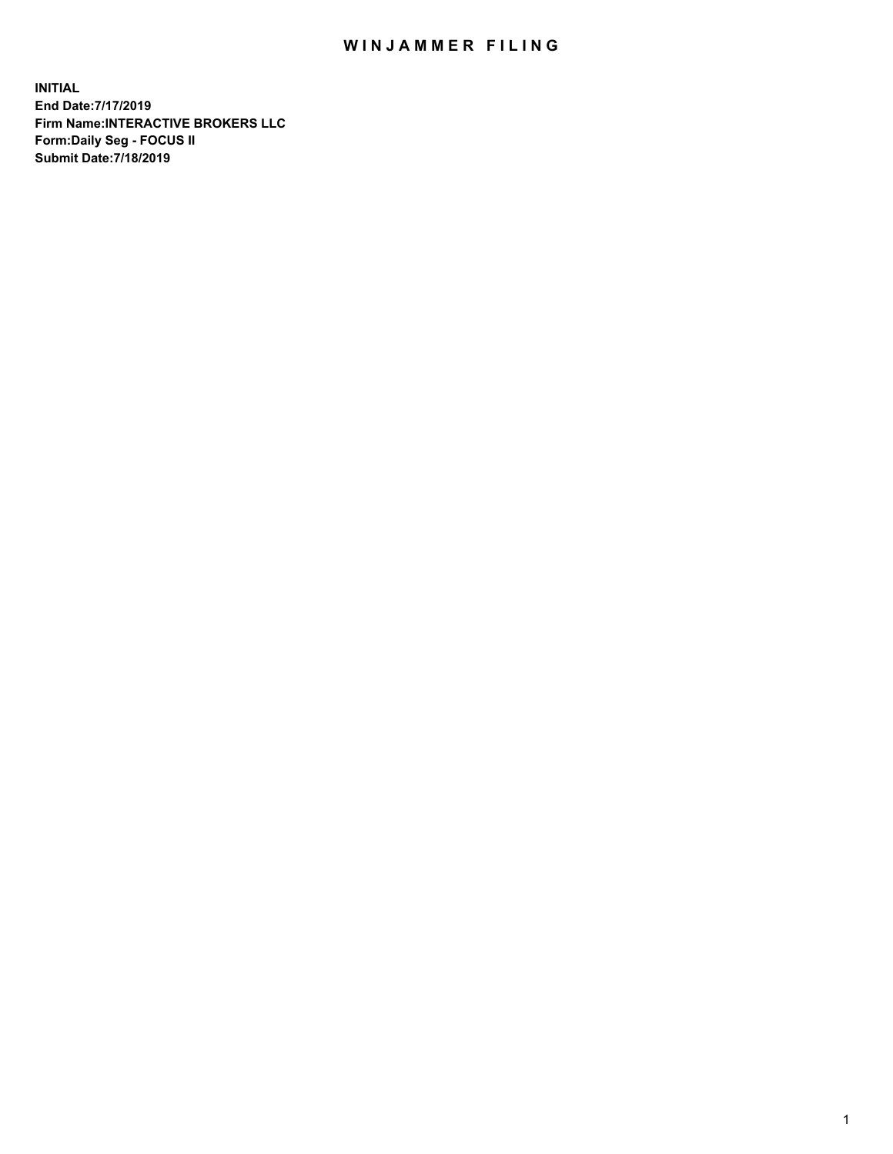## WIN JAMMER FILING

**INITIAL End Date:7/17/2019 Firm Name:INTERACTIVE BROKERS LLC Form:Daily Seg - FOCUS II Submit Date:7/18/2019**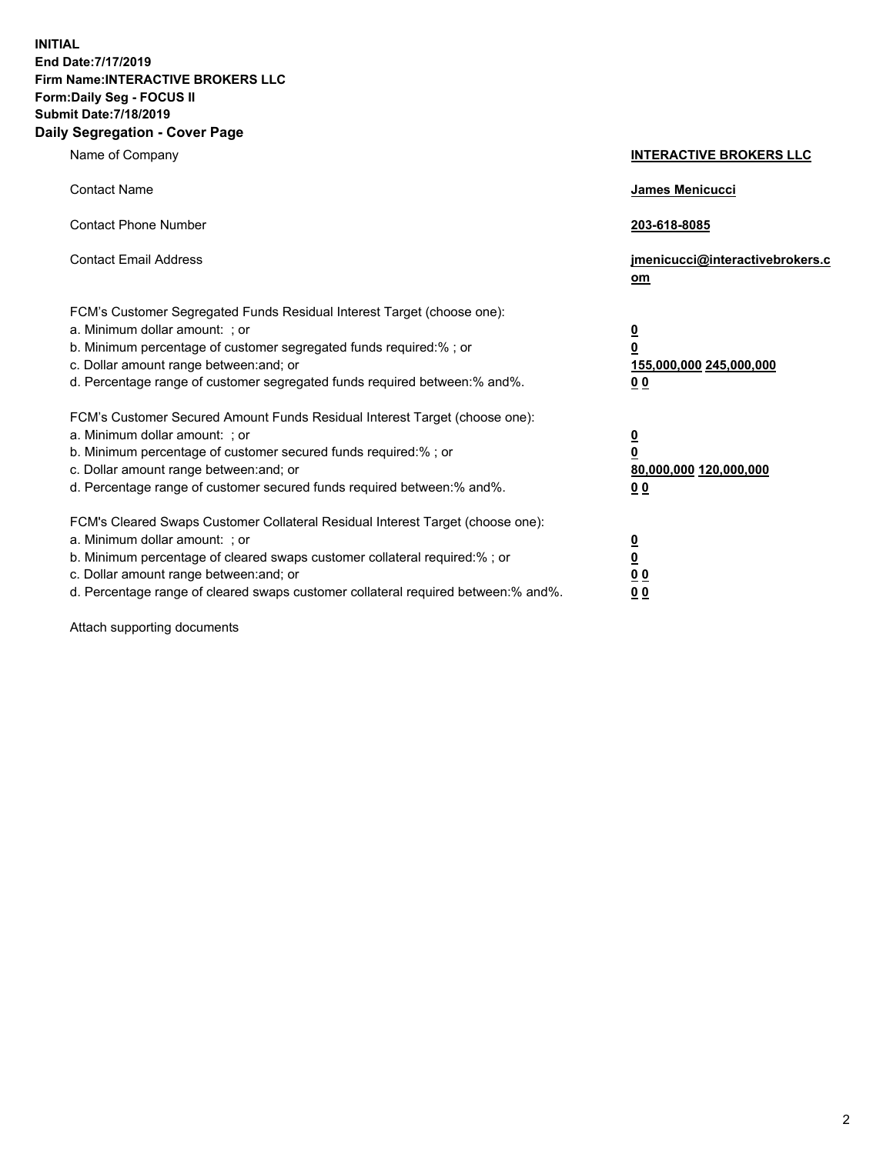**INITIAL End Date:7/17/2019 Firm Name:INTERACTIVE BROKERS LLC Form:Daily Seg - FOCUS II Submit Date:7/18/2019 Daily Segregation - Cover Page**

| Name of Company                                                                                                                                                                                                                                                                                                                | <b>INTERACTIVE BROKERS LLC</b>                                                  |
|--------------------------------------------------------------------------------------------------------------------------------------------------------------------------------------------------------------------------------------------------------------------------------------------------------------------------------|---------------------------------------------------------------------------------|
| <b>Contact Name</b>                                                                                                                                                                                                                                                                                                            | James Menicucci                                                                 |
| <b>Contact Phone Number</b>                                                                                                                                                                                                                                                                                                    | 203-618-8085                                                                    |
| <b>Contact Email Address</b>                                                                                                                                                                                                                                                                                                   | jmenicucci@interactivebrokers.c<br>om                                           |
| FCM's Customer Segregated Funds Residual Interest Target (choose one):<br>a. Minimum dollar amount: ; or<br>b. Minimum percentage of customer segregated funds required:% ; or<br>c. Dollar amount range between: and; or<br>d. Percentage range of customer segregated funds required between: % and %.                       | $\overline{\mathbf{0}}$<br>0<br>155,000,000 245,000,000<br>0 <sub>0</sub>       |
| FCM's Customer Secured Amount Funds Residual Interest Target (choose one):<br>a. Minimum dollar amount: ; or<br>b. Minimum percentage of customer secured funds required:%; or<br>c. Dollar amount range between: and; or<br>d. Percentage range of customer secured funds required between:% and%.                            | <u>0</u><br>$\overline{\mathbf{0}}$<br>80,000,000 120,000,000<br>0 <sub>0</sub> |
| FCM's Cleared Swaps Customer Collateral Residual Interest Target (choose one):<br>a. Minimum dollar amount: ; or<br>b. Minimum percentage of cleared swaps customer collateral required:% ; or<br>c. Dollar amount range between: and; or<br>d. Percentage range of cleared swaps customer collateral required between:% and%. | $\frac{0}{0}$<br>$\underline{0}$ $\underline{0}$<br>0 <sub>0</sub>              |

Attach supporting documents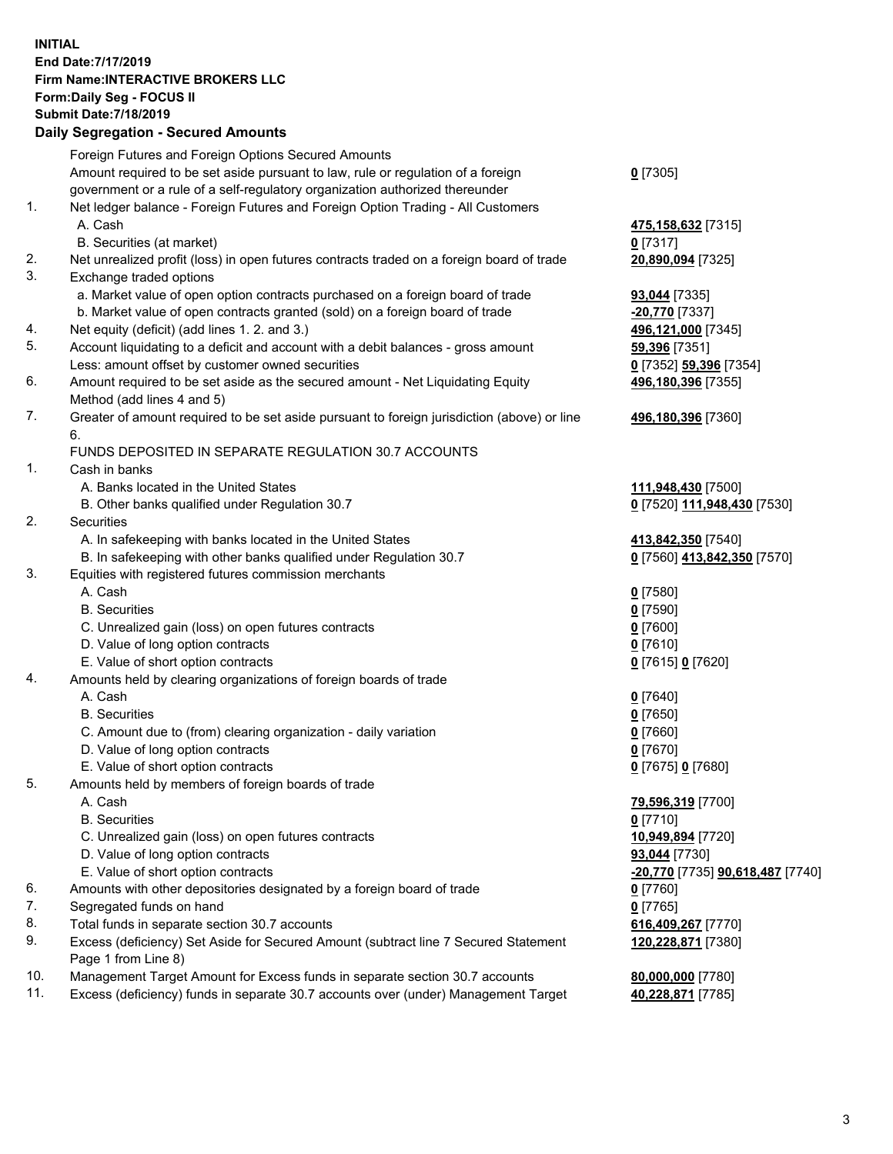## **INITIAL End Date:7/17/2019 Firm Name:INTERACTIVE BROKERS LLC Form:Daily Seg - FOCUS II Submit Date:7/18/2019 Daily Segregation - Secured Amounts**

|                | Daily Ocglegation - Occuled Aniounts                                                              |                                  |
|----------------|---------------------------------------------------------------------------------------------------|----------------------------------|
|                | Foreign Futures and Foreign Options Secured Amounts                                               |                                  |
|                | Amount required to be set aside pursuant to law, rule or regulation of a foreign                  | $0$ [7305]                       |
|                | government or a rule of a self-regulatory organization authorized thereunder                      |                                  |
| $\mathbf{1}$ . | Net ledger balance - Foreign Futures and Foreign Option Trading - All Customers                   |                                  |
|                | A. Cash                                                                                           | 475,158,632 [7315]               |
|                | B. Securities (at market)                                                                         | $0$ [7317]                       |
| 2.             | Net unrealized profit (loss) in open futures contracts traded on a foreign board of trade         | 20,890,094 [7325]                |
| 3.             | Exchange traded options                                                                           |                                  |
|                | a. Market value of open option contracts purchased on a foreign board of trade                    | 93,044 [7335]                    |
|                | b. Market value of open contracts granted (sold) on a foreign board of trade                      | -20,770 [7337]                   |
| 4.             | Net equity (deficit) (add lines 1. 2. and 3.)                                                     | 496,121,000 [7345]               |
| 5.             | Account liquidating to a deficit and account with a debit balances - gross amount                 | 59,396 [7351]                    |
|                | Less: amount offset by customer owned securities                                                  | 0 [7352] 59,396 [7354]           |
| 6.             | Amount required to be set aside as the secured amount - Net Liquidating Equity                    | 496,180,396 [7355]               |
|                | Method (add lines 4 and 5)                                                                        |                                  |
| 7.             | Greater of amount required to be set aside pursuant to foreign jurisdiction (above) or line<br>6. | 496,180,396 [7360]               |
|                | FUNDS DEPOSITED IN SEPARATE REGULATION 30.7 ACCOUNTS                                              |                                  |
| 1.             | Cash in banks                                                                                     |                                  |
|                | A. Banks located in the United States                                                             | 111,948,430 [7500]               |
|                | B. Other banks qualified under Regulation 30.7                                                    | 0 [7520] 111,948,430 [7530]      |
| 2.             | Securities                                                                                        |                                  |
|                | A. In safekeeping with banks located in the United States                                         | 413,842,350 [7540]               |
|                | B. In safekeeping with other banks qualified under Regulation 30.7                                | 0 [7560] 413,842,350 [7570]      |
| 3.             | Equities with registered futures commission merchants                                             |                                  |
|                | A. Cash                                                                                           | $0$ [7580]                       |
|                | <b>B.</b> Securities                                                                              | $0$ [7590]                       |
|                | C. Unrealized gain (loss) on open futures contracts                                               | $0$ [7600]                       |
|                | D. Value of long option contracts                                                                 | $0$ [7610]                       |
|                | E. Value of short option contracts                                                                | 0 [7615] 0 [7620]                |
| 4.             | Amounts held by clearing organizations of foreign boards of trade                                 |                                  |
|                | A. Cash                                                                                           | $0$ [7640]                       |
|                | <b>B.</b> Securities                                                                              | $0$ [7650]                       |
|                | C. Amount due to (from) clearing organization - daily variation                                   | $0$ [7660]                       |
|                | D. Value of long option contracts                                                                 | $0$ [7670]                       |
|                | E. Value of short option contracts                                                                | 0 [7675] 0 [7680]                |
| 5.             | Amounts held by members of foreign boards of trade                                                |                                  |
|                | A. Cash                                                                                           | 79,596,319 [7700]                |
|                | <b>B.</b> Securities                                                                              | $0$ [7710]                       |
|                | C. Unrealized gain (loss) on open futures contracts                                               | 10,949,894 [7720]                |
|                | D. Value of long option contracts                                                                 | 93,044 [7730]                    |
|                | E. Value of short option contracts                                                                | -20,770 [7735] 90,618,487 [7740] |
| 6.             | Amounts with other depositories designated by a foreign board of trade                            | 0 [7760]                         |
| 7.             | Segregated funds on hand                                                                          | $0$ [7765]                       |
| 8.             | Total funds in separate section 30.7 accounts                                                     | 616,409,267 [7770]               |
| 9.             | Excess (deficiency) Set Aside for Secured Amount (subtract line 7 Secured Statement               | 120,228,871 [7380]               |
|                | Page 1 from Line 8)                                                                               |                                  |
| 10.            | Management Target Amount for Excess funds in separate section 30.7 accounts                       | 80,000,000 [7780]                |
| 11.            | Excess (deficiency) funds in separate 30.7 accounts over (under) Management Target                | 40,228,871 [7785]                |
|                |                                                                                                   |                                  |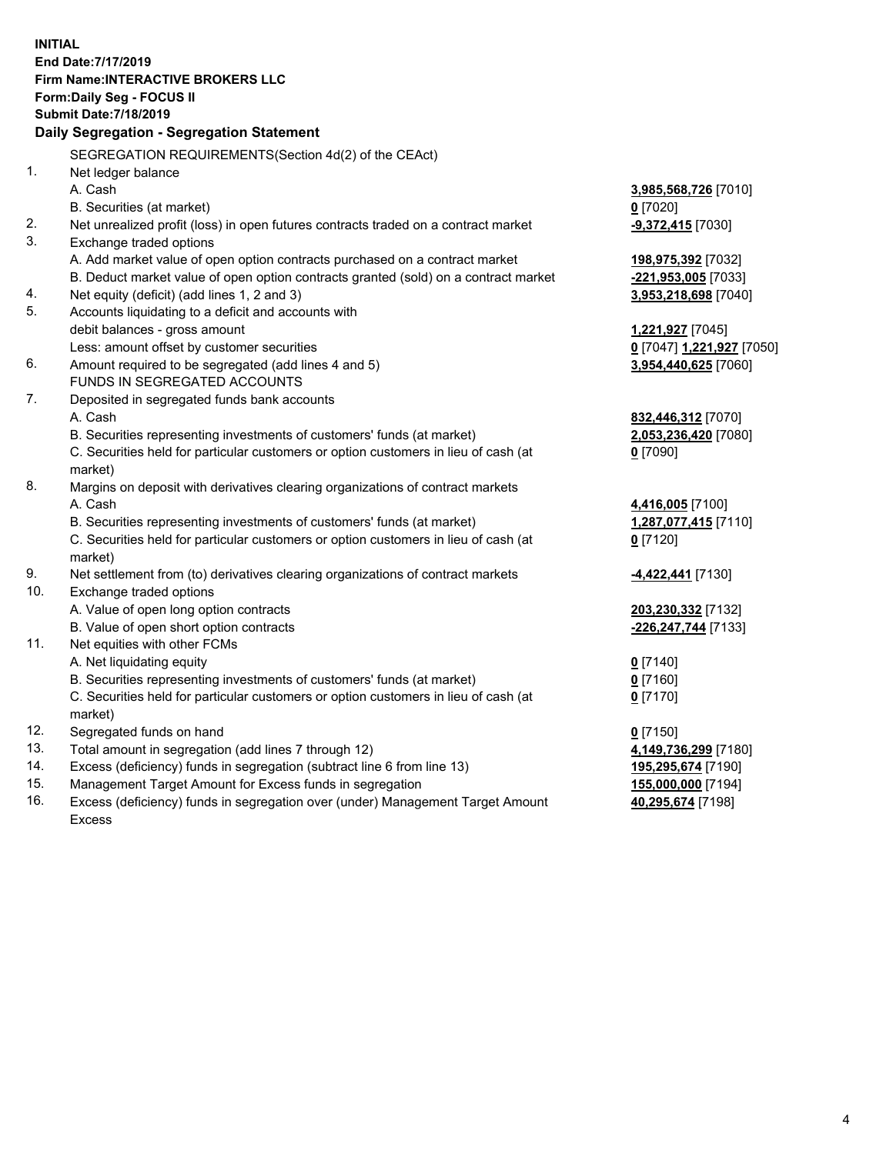**INITIAL End Date:7/17/2019 Firm Name:INTERACTIVE BROKERS LLC Form:Daily Seg - FOCUS II Submit Date:7/18/2019 Daily Segregation - Segregation Statement** SEGREGATION REQUIREMENTS(Section 4d(2) of the CEAct) 1. Net ledger balance A. Cash **3,985,568,726** [7010] B. Securities (at market) **0** [7020] 2. Net unrealized profit (loss) in open futures contracts traded on a contract market **-9,372,415** [7030] 3. Exchange traded options A. Add market value of open option contracts purchased on a contract market **198,975,392** [7032] B. Deduct market value of open option contracts granted (sold) on a contract market **-221,953,005** [7033] 4. Net equity (deficit) (add lines 1, 2 and 3) **3,953,218,698** [7040] 5. Accounts liquidating to a deficit and accounts with debit balances - gross amount **1,221,927** [7045] Less: amount offset by customer securities **0** [7047] **1,221,927** [7050] 6. Amount required to be segregated (add lines 4 and 5) **3,954,440,625** [7060] FUNDS IN SEGREGATED ACCOUNTS 7. Deposited in segregated funds bank accounts A. Cash **832,446,312** [7070] B. Securities representing investments of customers' funds (at market) **2,053,236,420** [7080] C. Securities held for particular customers or option customers in lieu of cash (at market) **0** [7090] 8. Margins on deposit with derivatives clearing organizations of contract markets A. Cash **4,416,005** [7100] B. Securities representing investments of customers' funds (at market) **1,287,077,415** [7110] C. Securities held for particular customers or option customers in lieu of cash (at market) **0** [7120] 9. Net settlement from (to) derivatives clearing organizations of contract markets **-4,422,441** [7130] 10. Exchange traded options A. Value of open long option contracts **203,230,332** [7132] B. Value of open short option contracts **-226,247,744** [7133] 11. Net equities with other FCMs A. Net liquidating equity **0** [7140] B. Securities representing investments of customers' funds (at market) **0** [7160] C. Securities held for particular customers or option customers in lieu of cash (at market) **0** [7170] 12. Segregated funds on hand **0** [7150] 13. Total amount in segregation (add lines 7 through 12) **4,149,736,299** [7180] 14. Excess (deficiency) funds in segregation (subtract line 6 from line 13) **195,295,674** [7190] 15. Management Target Amount for Excess funds in segregation **155,000,000** [7194]

16. Excess (deficiency) funds in segregation over (under) Management Target Amount Excess

**40,295,674** [7198]